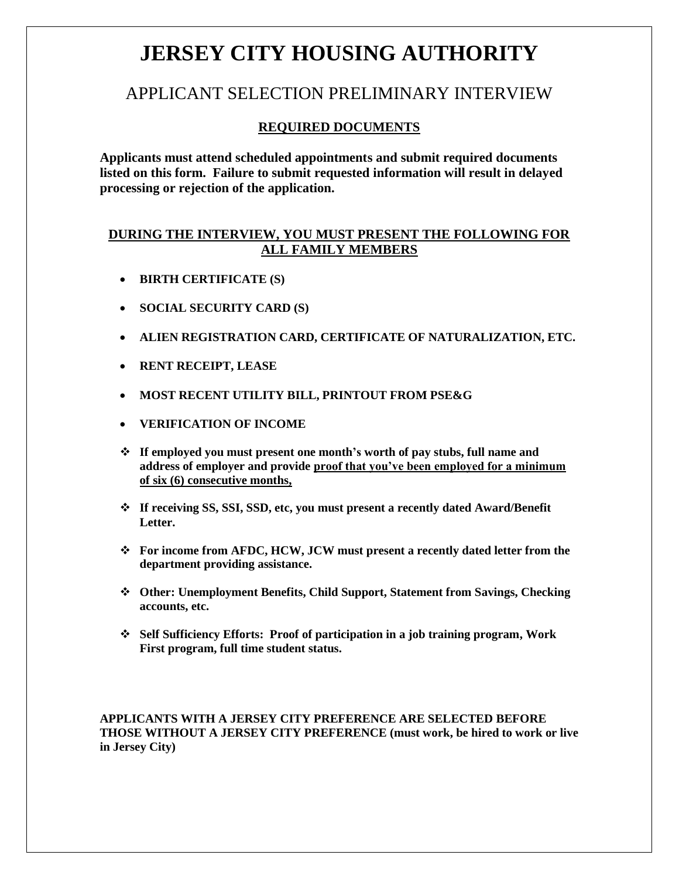# **JERSEY CITY HOUSING AUTHORITY**

### APPLICANT SELECTION PRELIMINARY INTERVIEW

### **REQUIRED DOCUMENTS**

**Applicants must attend scheduled appointments and submit required documents listed on this form. Failure to submit requested information will result in delayed processing or rejection of the application.**

### **DURING THE INTERVIEW, YOU MUST PRESENT THE FOLLOWING FOR ALL FAMILY MEMBERS**

- **BIRTH CERTIFICATE (S)**
- **SOCIAL SECURITY CARD (S)**
- **ALIEN REGISTRATION CARD, CERTIFICATE OF NATURALIZATION, ETC.**
- **RENT RECEIPT, LEASE**
- **MOST RECENT UTILITY BILL, PRINTOUT FROM PSE&G**
- **VERIFICATION OF INCOME**
- **If employed you must present one month's worth of pay stubs, full name and address of employer and provide proof that you've been employed for a minimum of six (6) consecutive months,**
- **If receiving SS, SSI, SSD, etc, you must present a recently dated Award/Benefit Letter.**
- **For income from AFDC, HCW, JCW must present a recently dated letter from the department providing assistance.**
- **Other: Unemployment Benefits, Child Support, Statement from Savings, Checking accounts, etc.**
- **Self Sufficiency Efforts: Proof of participation in a job training program, Work First program, full time student status.**

**APPLICANTS WITH A JERSEY CITY PREFERENCE ARE SELECTED BEFORE THOSE WITHOUT A JERSEY CITY PREFERENCE (must work, be hired to work or live in Jersey City)**